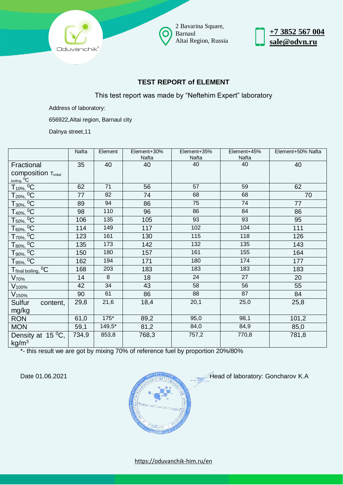

2 Bavarina Square, Barnaul Altai Region, Russia



## **TEST REPORT of ELEMENT**

This test report was made by "Neftehim Expert" laboratory

Address of laboratory:

656922,Altai region, Barnaul city

Dalnya street,11

|                                                        | Nafta | Element  | Element+30%<br>Nafta | Element+35%<br>Nafta | Element+45%<br>Nafta | Element+50% Nafta |
|--------------------------------------------------------|-------|----------|----------------------|----------------------|----------------------|-------------------|
| Fractional                                             | 35    | 40       | 40                   | 40                   | 40                   | 40                |
| <b>composition Tinitial</b>                            |       |          |                      |                      |                      |                   |
|                                                        |       |          |                      |                      |                      |                   |
| $\frac{\text{boiling, }^0C}{T_{10\%,}^0C}$             | 62    | 71       | 56                   | 57                   | 59                   | 62                |
| $T_{20\%}$ , <sup>0</sup> C                            | 77    | 82       | 74                   | 68                   | 68                   | 70                |
| $T_{30\%}$ , <sup>0</sup> C                            | 89    | 94       | 86                   | 75                   | 74                   | 77                |
| $T_{40\%}$ , <sup>0</sup> C                            | 98    | 110      | 96                   | 86                   | 84                   | 86                |
| $T_{50\%}$ , <sup>0</sup> C                            | 106   | 135      | 105                  | 93                   | 93                   | 95                |
| $T_{60\%}$ , <sup>0</sup> C                            | 114   | 149      | 117                  | 102                  | 104                  | 111               |
| $T_{70\%}$ , <sup>0</sup> C                            | 123   | 161      | 130                  | 115                  | 118                  | 126               |
| $T_{80\%}$ , <sup>0</sup> C                            | 135   | 173      | 142                  | 132                  | 135                  | 143               |
| $T_{90\%}$ , <sup>0</sup> C                            | 150   | 180      | 157                  | 161                  | 155                  | 164               |
| $T_{95\%}$ , <sup>0</sup> C                            | 162   | 194      | 171                  | 180                  | 174                  | 177               |
| $^{0}C$<br>Tfinal boiling,                             | 168   | 203      | 183                  | 183                  | 183                  | 183               |
| $V_{70\%}$                                             | 14    | 8        | 18                   | 24                   | 27                   | 20                |
| $V_{100\%}$                                            | 42    | 34       | 43                   | 58                   | 56                   | 55                |
| V <sub>150%</sub>                                      | 90    | 61       | 86                   | 88                   | 87                   | 84                |
| Sulfur<br>content,                                     | 29,8  | 21,6     | 18,4                 | 20,1                 | 25,0                 | 25,8              |
| mg/kg                                                  |       |          |                      |                      |                      |                   |
| <b>RON</b>                                             | 61,0  | $175*$   | 89,2                 | 95,0                 | 98,1                 | 101,2             |
| <b>MON</b>                                             | 59,1  | $149,5*$ | 81,2                 | 84,0                 | 84,9                 | 85,0              |
| Density at $15\,^0\overline{C}$ ,<br>kg/m <sup>3</sup> | 734,9 | 853,8    | 768,3                | 757,2                | 770,8                | 781,8             |

\*- this result we are got by mixing 70% of reference fuel by proportion 20%/80%



Date 01.06.2021 **Manual Accord Concharge Concharge Concharge Concharge Concharge Concharge Concharge Concharge Concharge Concharge Concharge Concharge Concharge Concharge Concharge Concharge Concharge Concharge Concharge C**